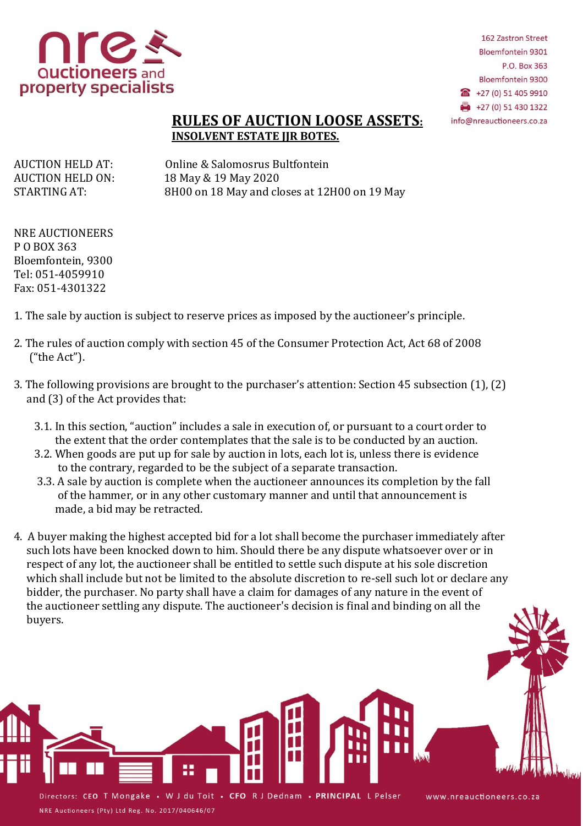

162 Zastron Street **Bloemfontein 9301** P.O. Box 363 **Bloemfontein 9300** £ +27 (0) 51 405 9910  $+27(0) 51 430 1322$ info@nreauctioneers.co.za

## **RULES OF AUCTION LOOSE ASSETS: INSOLVENT ESTATE JIR BOTES.**

AUCTION HELD AT: Online & Salomosrus Bultfontein AUCTION HELD ON: 18 May & 19 May 2020 STARTING AT: 8H00 on 18 May and closes at 12H00 on 19 May

NRE AUCTIONEERS P O BOX 363 Bloemfontein, 9300 Tel: 051-4059910 Fax: 051-4301322

- 1. The sale by auction is subject to reserve prices as imposed by the auctioneer's principle.
- 2. The rules of auction comply with section 45 of the Consumer Protection Act, Act 68 of 2008 ("the Act").
- 3. The following provisions are brought to the purchaser's attention: Section 45 subsection (1), (2) and (3) of the Act provides that:
	- 3.1. In this section, "auction" includes a sale in execution of, or pursuant to a court order to the extent that the order contemplates that the sale is to be conducted by an auction.
	- 3.2. When goods are put up for sale by auction in lots, each lot is, unless there is evidence to the contrary, regarded to be the subject of a separate transaction.
	- 3.3. A sale by auction is complete when the auctioneer announces its completion by the fall of the hammer, or in any other customary manner and until that announcement is made, a bid may be retracted.
- 4. A buyer making the highest accepted bid for a lot shall become the purchaser immediately after such lots have been knocked down to him. Should there be any dispute whatsoever over or in respect of any lot, the auctioneer shall be entitled to settle such dispute at his sole discretion which shall include but not be limited to the absolute discretion to re-sell such lot or declare any bidder, the purchaser. No party shall have a claim for damages of any nature in the event of the auctioneer settling any dispute. The auctioneer's decision is final and binding on all the buyers.

Directors: CEO T Mongake . W J du Toit . CFO R J Dednam . PRINCIPAL L Pelser NRE Auctioneers (Pty) Ltd Reg. No. 2017/040646/07

www.nreauctioneers.co.za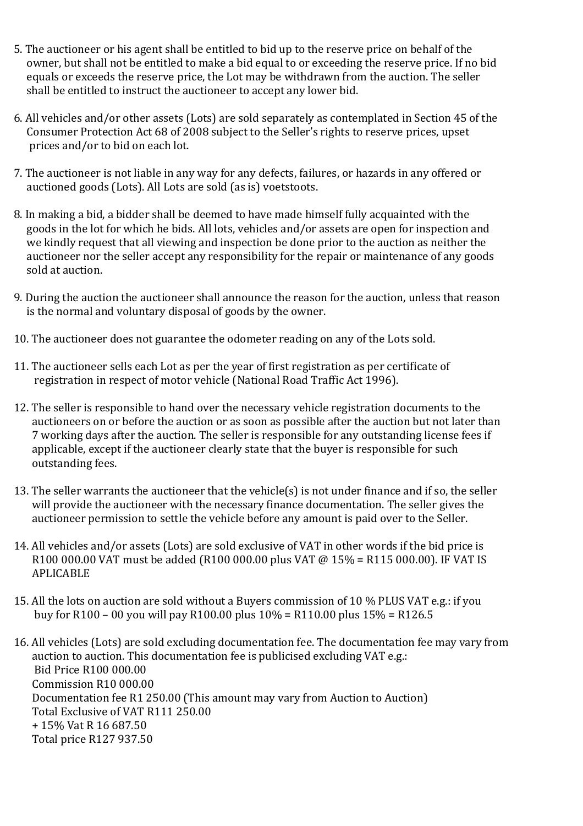- 5. The auctioneer or his agent shall be entitled to bid up to the reserve price on behalf of the owner, but shall not be entitled to make a bid equal to or exceeding the reserve price. If no bid equals or exceeds the reserve price, the Lot may be withdrawn from the auction. The seller shall be entitled to instruct the auctioneer to accept any lower bid.
- 6. All vehicles and/or other assets (Lots) are sold separately as contemplated in Section 45 of the Consumer Protection Act 68 of 2008 subject to the Seller's rights to reserve prices, upset prices and/or to bid on each lot.
- 7. The auctioneer is not liable in any way for any defects, failures, or hazards in any offered or auctioned goods (Lots). All Lots are sold (as is) voetstoots.
- 8. In making a bid, a bidder shall be deemed to have made himself fully acquainted with the goods in the lot for which he bids. All lots, vehicles and/or assets are open for inspection and we kindly request that all viewing and inspection be done prior to the auction as neither the auctioneer nor the seller accept any responsibility for the repair or maintenance of any goods sold at auction.
- 9. During the auction the auctioneer shall announce the reason for the auction, unless that reason is the normal and voluntary disposal of goods by the owner.
- 10. The auctioneer does not guarantee the odometer reading on any of the Lots sold.
- 11. The auctioneer sells each Lot as per the year of first registration as per certificate of registration in respect of motor vehicle (National Road Traffic Act 1996).
- 12. The seller is responsible to hand over the necessary vehicle registration documents to the auctioneers on or before the auction or as soon as possible after the auction but not later than 7 working days after the auction. The seller is responsible for any outstanding license fees if applicable, except if the auctioneer clearly state that the buyer is responsible for such outstanding fees.
- 13. The seller warrants the auctioneer that the vehicle(s) is not under finance and if so, the seller will provide the auctioneer with the necessary finance documentation. The seller gives the auctioneer permission to settle the vehicle before any amount is paid over to the Seller.
- 14. All vehicles and/or assets (Lots) are sold exclusive of VAT in other words if the bid price is R100 000.00 VAT must be added (R100 000.00 plus VAT @ 15% = R115 000.00). IF VAT IS APLICABLE
- 15. All the lots on auction are sold without a Buyers commission of 10 % PLUS VAT e.g.: if you buy for R100 – 00 you will pay R100.00 plus 10% = R110.00 plus 15% = R126.5
- 16. All vehicles (Lots) are sold excluding documentation fee. The documentation fee may vary from auction to auction. This documentation fee is publicised excluding VAT e.g.: Bid Price R100 000.00 Commission R10 000.00 Documentation fee R1 250.00 (This amount may vary from Auction to Auction) Total Exclusive of VAT R111 250.00 + 15% Vat R 16 687.50 Total price R127 937.50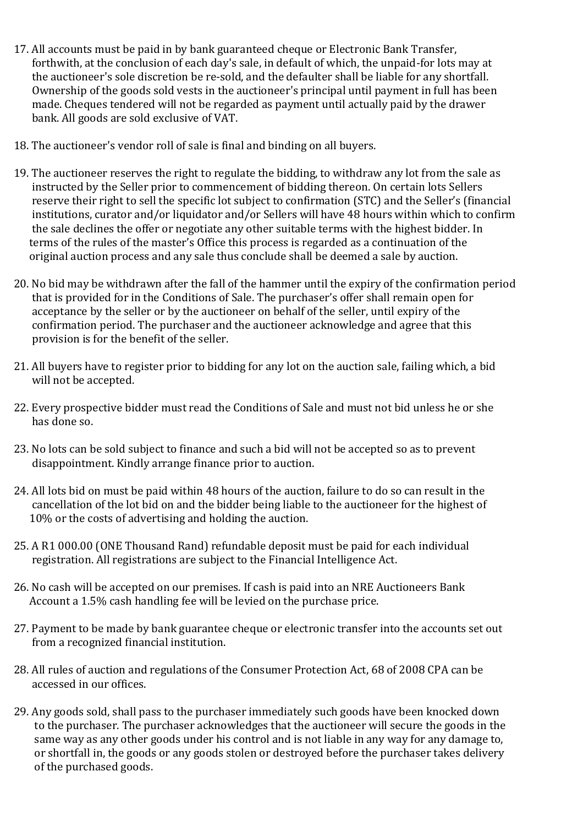- 17. All accounts must be paid in by bank guaranteed cheque or Electronic Bank Transfer, forthwith, at the conclusion of each day's sale, in default of which, the unpaid-for lots may at the auctioneer's sole discretion be re-sold, and the defaulter shall be liable for any shortfall. Ownership of the goods sold vests in the auctioneer's principal until payment in full has been made. Cheques tendered will not be regarded as payment until actually paid by the drawer bank. All goods are sold exclusive of VAT.
- 18. The auctioneer's vendor roll of sale is final and binding on all buyers.
- 19. The auctioneer reserves the right to regulate the bidding, to withdraw any lot from the sale as instructed by the Seller prior to commencement of bidding thereon. On certain lots Sellers reserve their right to sell the specific lot subject to confirmation (STC) and the Seller's (financial institutions, curator and/or liquidator and/or Sellers will have 48 hours within which to confirm the sale declines the offer or negotiate any other suitable terms with the highest bidder. In terms of the rules of the master's Office this process is regarded as a continuation of the original auction process and any sale thus conclude shall be deemed a sale by auction.
- 20. No bid may be withdrawn after the fall of the hammer until the expiry of the confirmation period that is provided for in the Conditions of Sale. The purchaser's offer shall remain open for acceptance by the seller or by the auctioneer on behalf of the seller, until expiry of the confirmation period. The purchaser and the auctioneer acknowledge and agree that this provision is for the benefit of the seller.
- 21. All buyers have to register prior to bidding for any lot on the auction sale, failing which, a bid will not be accepted.
- 22. Every prospective bidder must read the Conditions of Sale and must not bid unless he or she has done so.
- 23. No lots can be sold subject to finance and such a bid will not be accepted so as to prevent disappointment. Kindly arrange finance prior to auction.
- 24. All lots bid on must be paid within 48 hours of the auction, failure to do so can result in the cancellation of the lot bid on and the bidder being liable to the auctioneer for the highest of 10% or the costs of advertising and holding the auction.
- 25. A R1 000.00 (ONE Thousand Rand) refundable deposit must be paid for each individual registration. All registrations are subject to the Financial Intelligence Act.
- 26. No cash will be accepted on our premises. If cash is paid into an NRE Auctioneers Bank Account a 1.5% cash handling fee will be levied on the purchase price.
- 27. Payment to be made by bank guarantee cheque or electronic transfer into the accounts set out from a recognized financial institution.
- 28. All rules of auction and regulations of the Consumer Protection Act, 68 of 2008 CPA can be accessed in our offices.
- 29. Any goods sold, shall pass to the purchaser immediately such goods have been knocked down to the purchaser. The purchaser acknowledges that the auctioneer will secure the goods in the same way as any other goods under his control and is not liable in any way for any damage to, or shortfall in, the goods or any goods stolen or destroyed before the purchaser takes delivery of the purchased goods.